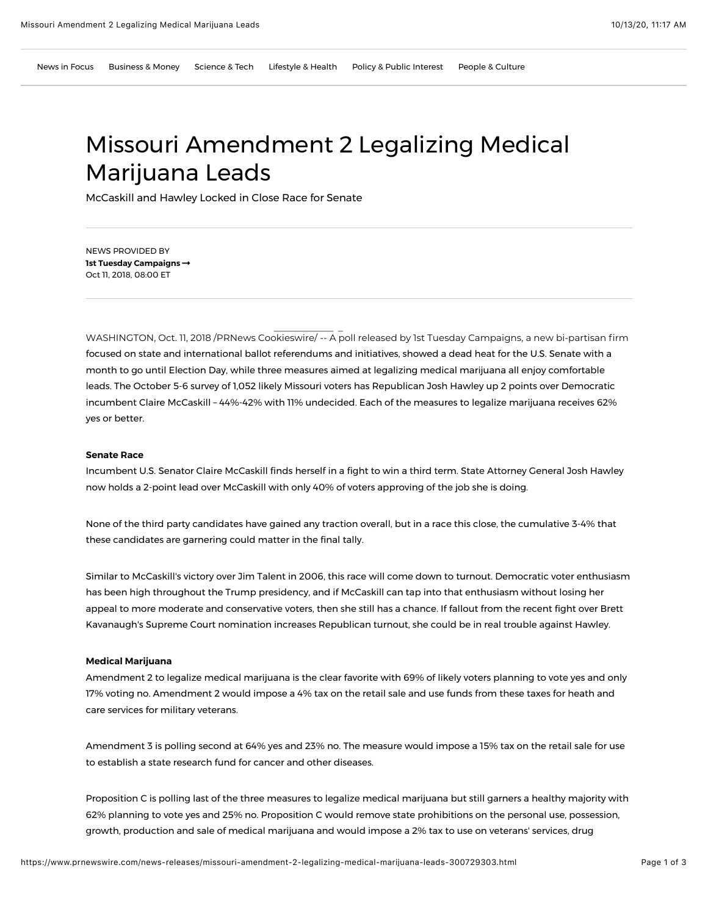# Missouri Amendment 2 Legalizing Medical Marijuana Leads

McCaskill and Hawley Locked in Close Race for Senate

NEWS PROVIDED BY **[1st Tuesday Campaigns](https://www.prnewswire.com/news/1st-tuesday-campaigns)  !** Oct 11, 2018, 08:00 ET

WASHINGTON, Oct. 11, 2018 /PRNews Cookieswire/ -- A poll released by 1st Tuesday Campaigns, a new bi-partisan firm focused on state and international ballot referendums and initiatives, showed a dead heat for the U.S. Senate with a month to go until Election Day, while three measures aimed at legalizing medical marijuana all enjoy comfortable leads. The October 5-6 survey of 1,052 likely Missouri voters has Republican Josh Hawley up 2 points over Democratic incumbent Claire McCaskill – 44%-42% with 11% undecided. Each of the measures to legalize marijuana receives 62% yes or better.

# **Senate Race**

Incumbent U.S. Senator Claire McCaskill finds herself in a fight to win a third term. State Attorney General Josh Hawley now holds a 2-point lead over McCaskill with only 40% of voters approving of the job she is doing.

None of the third party candidates have gained any traction overall, but in a race this close, the cumulative 3-4% that these candidates are garnering could matter in the final tally.

Similar to McCaskill's victory over Jim Talent in 2006, this race will come down to turnout. Democratic voter enthusiasm has been high throughout the Trump presidency, and if McCaskill can tap into that enthusiasm without losing her appeal to more moderate and conservative voters, then she still has a chance. If fallout from the recent fight over Brett Kavanaugh's Supreme Court nomination increases Republican turnout, she could be in real trouble against Hawley.

### **Medical Marijuana**

Amendment 2 to legalize medical marijuana is the clear favorite with 69% of likely voters planning to vote yes and only 17% voting no. Amendment 2 would impose a 4% tax on the retail sale and use funds from these taxes for heath and care services for military veterans.

Amendment 3 is polling second at 64% yes and 23% no. The measure would impose a 15% tax on the retail sale for use to establish a state research fund for cancer and other diseases.

Proposition C is polling last of the three measures to legalize medical marijuana but still garners a healthy majority with 62% planning to vote yes and 25% no. Proposition C would remove state prohibitions on the personal use, possession, growth, production and sale of medical marijuana and would impose a 2% tax to use on veterans' services, drug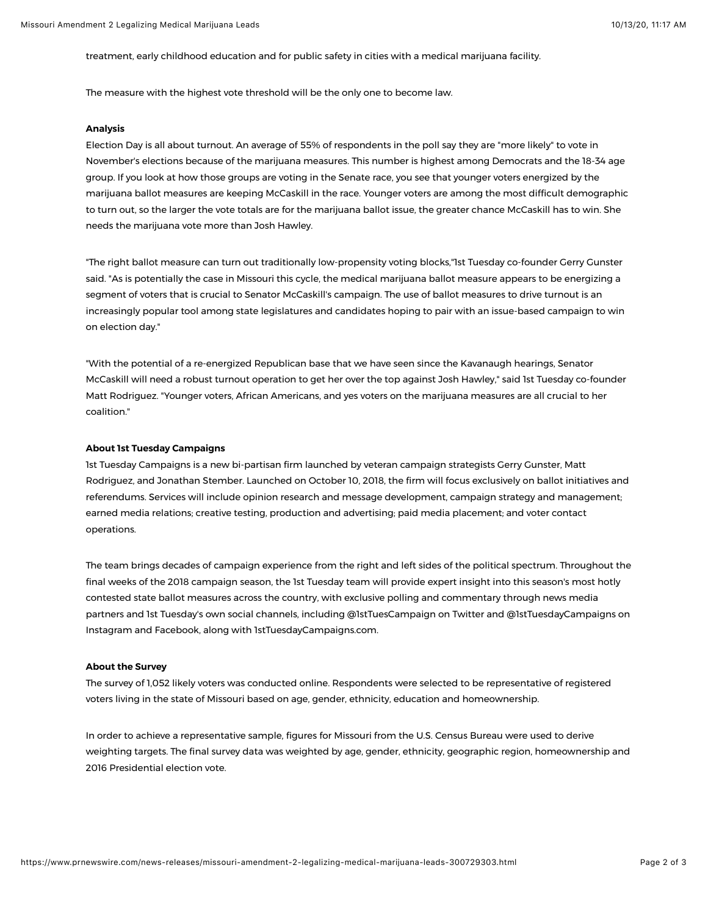treatment, early childhood education and for public safety in cities with a medical marijuana facility.

The measure with the highest vote threshold will be the only one to become law.

#### **Analysis**

Election Day is all about turnout. An average of 55% of respondents in the poll say they are "more likely" to vote in November's elections because of the marijuana measures. This number is highest among Democrats and the 18-34 age group. If you look at how those groups are voting in the Senate race, you see that younger voters energized by the marijuana ballot measures are keeping McCaskill in the race. Younger voters are among the most difficult demographic to turn out, so the larger the vote totals are for the marijuana ballot issue, the greater chance McCaskill has to win. She needs the marijuana vote more than Josh Hawley.

"The right ballot measure can turn out traditionally low-propensity voting blocks,"1st Tuesday co-founder Gerry Gunster said. "As is potentially the case in Missouri this cycle, the medical marijuana ballot measure appears to be energizing a segment of voters that is crucial to Senator McCaskill's campaign. The use of ballot measures to drive turnout is an increasingly popular tool among state legislatures and candidates hoping to pair with an issue-based campaign to win on election day."

"With the potential of a re-energized Republican base that we have seen since the Kavanaugh hearings, Senator McCaskill will need a robust turnout operation to get her over the top against Josh Hawley," said 1st Tuesday co-founder Matt Rodriguez. "Younger voters, African Americans, and yes voters on the marijuana measures are all crucial to her coalition."

## **About 1st Tuesday Campaigns**

1st Tuesday Campaigns is a new bi-partisan firm launched by veteran campaign strategists Gerry Gunster, Matt Rodriguez, and Jonathan Stember. Launched on October 10, 2018, the firm will focus exclusively on ballot initiatives and referendums. Services will include opinion research and message development, campaign strategy and management; earned media relations; creative testing, production and advertising; paid media placement; and voter contact operations.

The team brings decades of campaign experience from the right and left sides of the political spectrum. Throughout the final weeks of the 2018 campaign season, the 1st Tuesday team will provide expert insight into this season's most hotly contested state ballot measures across the country, with exclusive polling and commentary through news media partners and 1st Tuesday's own social channels, including @1stTuesCampaign on Twitter and @1stTuesdayCampaigns on Instagram and Facebook, along with [1stTuesdayCampaigns.com.](http://1sttuesdaycampaigns.com/)

## **About the Survey**

The survey of 1,052 likely voters was conducted online. Respondents were selected to be representative of registered voters living in the state of Missouri based on age, gender, ethnicity, education and homeownership.

In order to achieve a representative sample, figures for Missouri from the U.S. Census Bureau were used to derive weighting targets. The final survey data was weighted by age, gender, ethnicity, geographic region, homeownership and 2016 Presidential election vote.